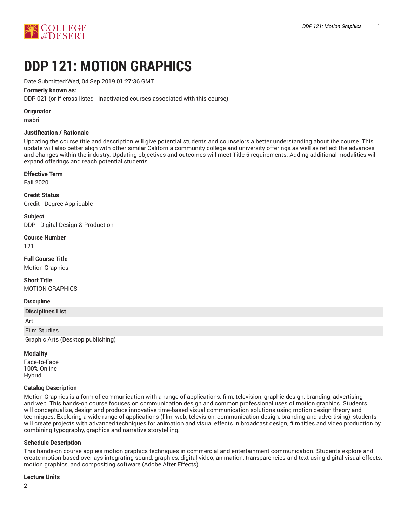

# **DDP 121: MOTION GRAPHICS**

Date Submitted:Wed, 04 Sep 2019 01:27:36 GMT

#### **Formerly known as:**

DDP 021 (or if cross-listed - inactivated courses associated with this course)

#### **Originator**

mabril

#### **Justification / Rationale**

Updating the course title and description will give potential students and counselors a better understanding about the course. This update will also better align with other similar California community college and university offerings as well as reflect the advances and changes within the industry. Updating objectives and outcomes will meet Title 5 requirements. Adding additional modalities will expand offerings and reach potential students.

#### **Effective Term**

Fall 2020

**Credit Status** Credit - Degree Applicable

**Subject** DDP - Digital Design & Production

#### **Course Number**

121

## **Full Course Title**

Motion Graphics

# **Short Title**

MOTION GRAPHICS

#### **Discipline**

#### **Disciplines List**

Art

Film Studies

Graphic Arts (Desktop publishing)

#### **Modality**

Face-to-Face 100% Online Hybrid

#### **Catalog Description**

Motion Graphics is a form of communication with a range of applications: film, television, graphic design, branding, advertising and web. This hands-on course focuses on communication design and common professional uses of motion graphics. Students will conceptualize, design and produce innovative time-based visual communication solutions using motion design theory and techniques. Exploring a wide range of applications (film, web, television, communication design, branding and advertising), students will create projects with advanced techniques for animation and visual effects in broadcast design, film titles and video production by combining typography, graphics and narrative storytelling.

#### **Schedule Description**

This hands-on course applies motion graphics techniques in commercial and entertainment communication. Students explore and create motion-based overlays integrating sound, graphics, digital video, animation, transparencies and text using digital visual effects, motion graphics, and compositing software (Adobe After Effects).

#### **Lecture Units**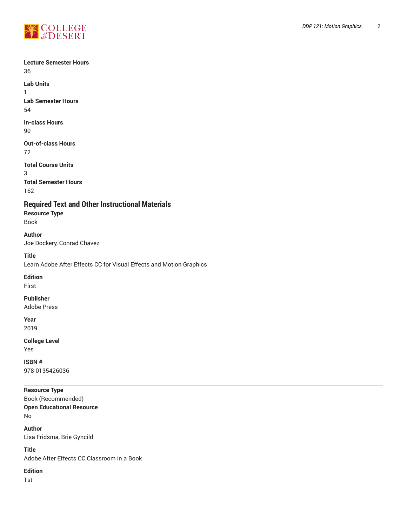

## **Lecture Semester Hours** 36

**Lab Units** 1

**Lab Semester Hours** 54

**In-class Hours** 90

**Out-of-class Hours** 72

**Total Course Units** 3 **Total Semester Hours** 162

**Required Text and Other Instructional Materials**

**Resource Type** Book

**Author** Joe Dockery, Conrad Chavez

**Title** Learn Adobe After Effects CC for Visual Effects and Motion Graphics

**Edition**

First

**Publisher**

Adobe Press

**Year** 2019

**College Level**

Yes

**ISBN #** 978-0135426036

# **Resource Type**

Book (Recommended) **Open Educational Resource** No

**Author**

Lisa Fridsma, Brie Gyncild

**Title** Adobe After Effects CC Classroom in a Book

**Edition**

1st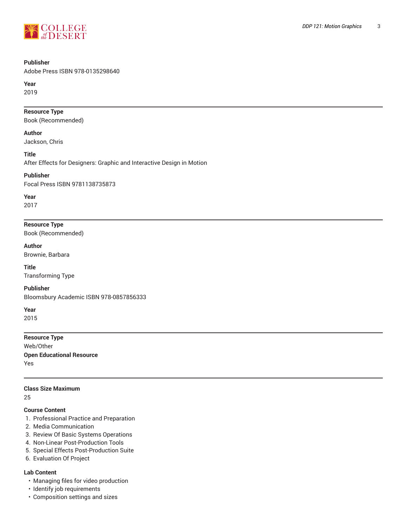

# **Publisher**

Adobe Press ISBN 978-0135298640

**Year**

2019

## **Resource Type**

Book (Recommended)

#### **Author**

Jackson, Chris

#### **Title**

After Effects for Designers: Graphic and Interactive Design in Motion

#### **Publisher**

Focal Press ISBN 9781138735873

# **Year**

2017

# **Resource Type**

Book (Recommended)

# **Author**

Brownie, Barbara

**Title** Transforming Type

#### **Publisher**

Bloomsbury Academic ISBN 978-0857856333

**Year**

2015

**Resource Type** Web/Other **Open Educational Resource** Yes

## **Class Size Maximum**

25

#### **Course Content**

- 1. Professional Practice and Preparation
- 2. Media Communication
- 3. Review Of Basic Systems Operations
- 4. Non-Linear Post-Production Tools
- 5. Special Effects Post-Production Suite
- 6. Evaluation Of Project

#### **Lab Content**

- Managing files for video production
- Identify job requirements
- Composition settings and sizes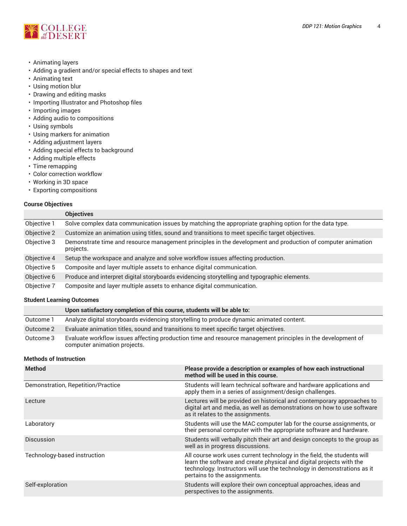

- Animating layers
- Adding a gradient and/or special effects to shapes and text
- Animating text
- Using motion blur
- Drawing and editing masks
- Importing Illustrator and Photoshop files
- Importing images
- Adding audio to compositions
- Using symbols
- Using markers for animation
- Adding adjustment layers
- Adding special effects to background
- Adding multiple effects
- Time remapping
- Color correction workflow
- Working in 3D space
- Exporting compositions

## **Course Objectives**

|             | <b>Objectives</b>                                                                                                        |
|-------------|--------------------------------------------------------------------------------------------------------------------------|
| Objective 1 | Solve complex data communication issues by matching the appropriate graphing option for the data type.                   |
| Objective 2 | Customize an animation using titles, sound and transitions to meet specific target objectives.                           |
| Objective 3 | Demonstrate time and resource management principles in the development and production of computer animation<br>projects. |
| Objective 4 | Setup the workspace and analyze and solve workflow issues affecting production.                                          |
| Objective 5 | Composite and layer multiple assets to enhance digital communication.                                                    |
| Objective 6 | Produce and interpret digital storyboards evidencing storytelling and typographic elements.                              |
| Objective 7 | Composite and layer multiple assets to enhance digital communication.                                                    |

# **Student Learning Outcomes**

|           | Upon satisfactory completion of this course, students will be able to:                                                                      |
|-----------|---------------------------------------------------------------------------------------------------------------------------------------------|
| Outcome 1 | Analyze digital storyboards evidencing storytelling to produce dynamic animated content.                                                    |
| Outcome 2 | Evaluate animation titles, sound and transitions to meet specific target objectives.                                                        |
| Outcome 3 | Evaluate workflow issues affecting production time and resource management principles in the development of<br>computer animation projects. |

#### **Methods of Instruction**

| <b>Method</b>                      | Please provide a description or examples of how each instructional<br>method will be used in this course.                                                                                                                                                  |
|------------------------------------|------------------------------------------------------------------------------------------------------------------------------------------------------------------------------------------------------------------------------------------------------------|
| Demonstration, Repetition/Practice | Students will learn technical software and hardware applications and<br>apply them in a series of assignment/design challenges.                                                                                                                            |
| Lecture                            | Lectures will be provided on historical and contemporary approaches to<br>digital art and media, as well as demonstrations on how to use software<br>as it relates to the assignments.                                                                     |
| Laboratory                         | Students will use the MAC computer lab for the course assignments, or<br>their personal computer with the appropriate software and hardware.                                                                                                               |
| <b>Discussion</b>                  | Students will verbally pitch their art and design concepts to the group as<br>well as in progress discussions.                                                                                                                                             |
| Technology-based instruction       | All course work uses current technology in the field, the students will<br>learn the software and create physical and digital projects with the<br>technology. Instructors will use the technology in demonstrations as it<br>pertains to the assignments. |
| Self-exploration                   | Students will explore their own conceptual approaches, ideas and<br>perspectives to the assignments.                                                                                                                                                       |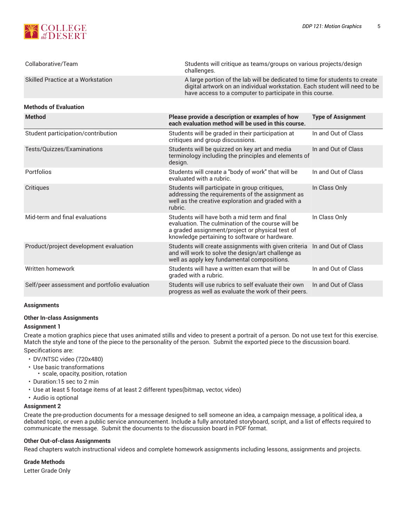

| Collaborative/Team                            | Students will critique as teams/groups on various projects/design<br>challenges.                                                                                                                                      |                           |  |
|-----------------------------------------------|-----------------------------------------------------------------------------------------------------------------------------------------------------------------------------------------------------------------------|---------------------------|--|
| Skilled Practice at a Workstation             | A large portion of the lab will be dedicated to time for students to create<br>digital artwork on an individual workstation. Each student will need to be<br>have access to a computer to participate in this course. |                           |  |
| <b>Methods of Evaluation</b>                  |                                                                                                                                                                                                                       |                           |  |
| <b>Method</b>                                 | Please provide a description or examples of how<br>each evaluation method will be used in this course.                                                                                                                | <b>Type of Assignment</b> |  |
| Student participation/contribution            | Students will be graded in their participation at<br>critiques and group discussions.                                                                                                                                 | In and Out of Class       |  |
| Tests/Quizzes/Examinations                    | Students will be quizzed on key art and media<br>terminology including the principles and elements of<br>design.                                                                                                      | In and Out of Class       |  |
| Portfolios                                    | Students will create a "body of work" that will be<br>evaluated with a rubric.                                                                                                                                        | In and Out of Class       |  |
| Critiques                                     | Students will participate in group critiques,<br>addressing the requirements of the assignment as<br>well as the creative exploration and graded with a<br>rubric.                                                    | In Class Only             |  |
| Mid-term and final evaluations                | Students will have both a mid term and final<br>evaluation. The culmination of the course will be<br>a graded assignment/project or physical test of<br>knowledge pertaining to software or hardware.                 | In Class Only             |  |
| Product/project development evaluation        | Students will create assignments with given criteria<br>and will work to solve the design/art challenge as<br>well as apply key fundamental compositions.                                                             | In and Out of Class       |  |
| Written homework                              | Students will have a written exam that will be<br>graded with a rubric.                                                                                                                                               | In and Out of Class       |  |
| Self/peer assessment and portfolio evaluation | Students will use rubrics to self evaluate their own<br>progress as well as evaluate the work of their peers.                                                                                                         | In and Out of Class       |  |

#### **Assignments**

#### **Other In-class Assignments**

#### **Assignment 1**

Create a motion graphics piece that uses animated stills and video to present a portrait of a person. Do not use text for this exercise. Match the style and tone of the piece to the personality of the person. Submit the exported piece to the discussion board. Specifications are:

- DV/NTSC video (720x480)
- Use basic transformations
	- scale, opacity, position, rotation
- Duration:15 sec to 2 min
- Use at least 5 footage items of at least 2 different types(bitmap, vector, video)
- Audio is optional

#### **Assignment 2**

Create the pre-production documents for a message designed to sell someone an idea, a campaign message, a political idea, a debated topic, or even a public service announcement. Include a fully annotated storyboard, script, and a list of effects required to communicate the message. Submit the documents to the discussion board in PDF format.

#### **Other Out-of-class Assignments**

Read chapters watch instructional videos and complete homework assignments including lessons, assignments and projects.

#### **Grade Methods**

Letter Grade Only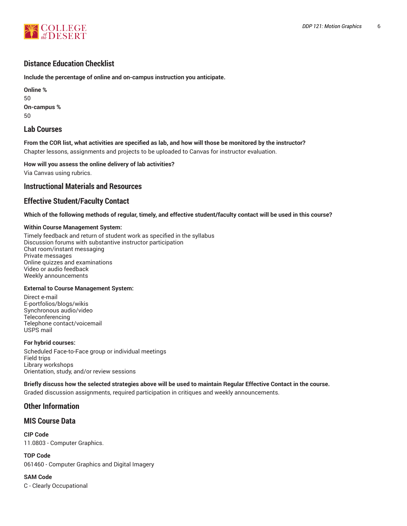

# **Distance Education Checklist**

**Include the percentage of online and on-campus instruction you anticipate.**

**Online %** 50 **On-campus %** 50

# **Lab Courses**

From the COR list, what activities are specified as lab, and how will those be monitored by the instructor? Chapter lessons, assignments and projects to be uploaded to Canvas for instructor evaluation.

**How will you assess the online delivery of lab activities?**

Via Canvas using rubrics.

# **Instructional Materials and Resources**

# **Effective Student/Faculty Contact**

Which of the following methods of regular, timely, and effective student/faculty contact will be used in this course?

## **Within Course Management System:**

Timely feedback and return of student work as specified in the syllabus Discussion forums with substantive instructor participation Chat room/instant messaging Private messages Online quizzes and examinations Video or audio feedback Weekly announcements

# **External to Course Management System:**

Direct e-mail E-portfolios/blogs/wikis Synchronous audio/video Teleconferencing Telephone contact/voicemail USPS mail

#### **For hybrid courses:**

Scheduled Face-to-Face group or individual meetings Field trips Library workshops Orientation, study, and/or review sessions

Briefly discuss how the selected strategies above will be used to maintain Regular Effective Contact in the course.

Graded discussion assignments, required participation in critiques and weekly announcements.

# **Other Information**

# **MIS Course Data**

**CIP Code** 11.0803 - Computer Graphics.

**TOP Code** 061460 - Computer Graphics and Digital Imagery

**SAM Code** C - Clearly Occupational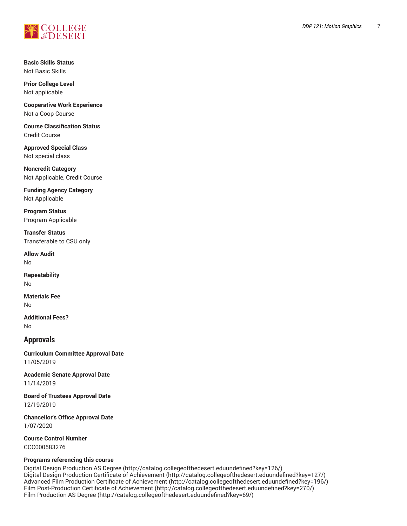

**Basic Skills Status** Not Basic Skills

**Prior College Level** Not applicable

**Cooperative Work Experience** Not a Coop Course

**Course Classification Status** Credit Course

**Approved Special Class** Not special class

**Noncredit Category** Not Applicable, Credit Course

**Funding Agency Category** Not Applicable

**Program Status** Program Applicable

**Transfer Status** Transferable to CSU only

**Allow Audit** No

**Repeatability** No

**Materials Fee** No

**Additional Fees?** No

# **Approvals**

**Curriculum Committee Approval Date** 11/05/2019

**Academic Senate Approval Date** 11/14/2019

**Board of Trustees Approval Date** 12/19/2019

**Chancellor's Office Approval Date** 1/07/2020

**Course Control Number** CCC000583276

#### **Programs referencing this course**

Digital Design [Production](http://catalog.collegeofthedesert.eduundefined?key=126/) AS Degree [\(http://catalog.collegeofthedesert.eduundefined?key=126/](http://catalog.collegeofthedesert.eduundefined?key=126/)) Digital Design Production Certificate of [Achievement](http://catalog.collegeofthedesert.eduundefined?key=127/) (<http://catalog.collegeofthedesert.eduundefined?key=127/>) Advanced Film Production Certificate of [Achievement](http://catalog.collegeofthedesert.eduundefined?key=196/) (<http://catalog.collegeofthedesert.eduundefined?key=196/>) Film [Post-Production](http://catalog.collegeofthedesert.eduundefined?key=270/) Certificate of Achievement ([http://catalog.collegeofthedesert.eduundefined?key=270/\)](http://catalog.collegeofthedesert.eduundefined?key=270/) Film [Production](http://catalog.collegeofthedesert.eduundefined?key=69/) AS Degree ([http://catalog.collegeofthedesert.eduundefined?key=69/\)](http://catalog.collegeofthedesert.eduundefined?key=69/)